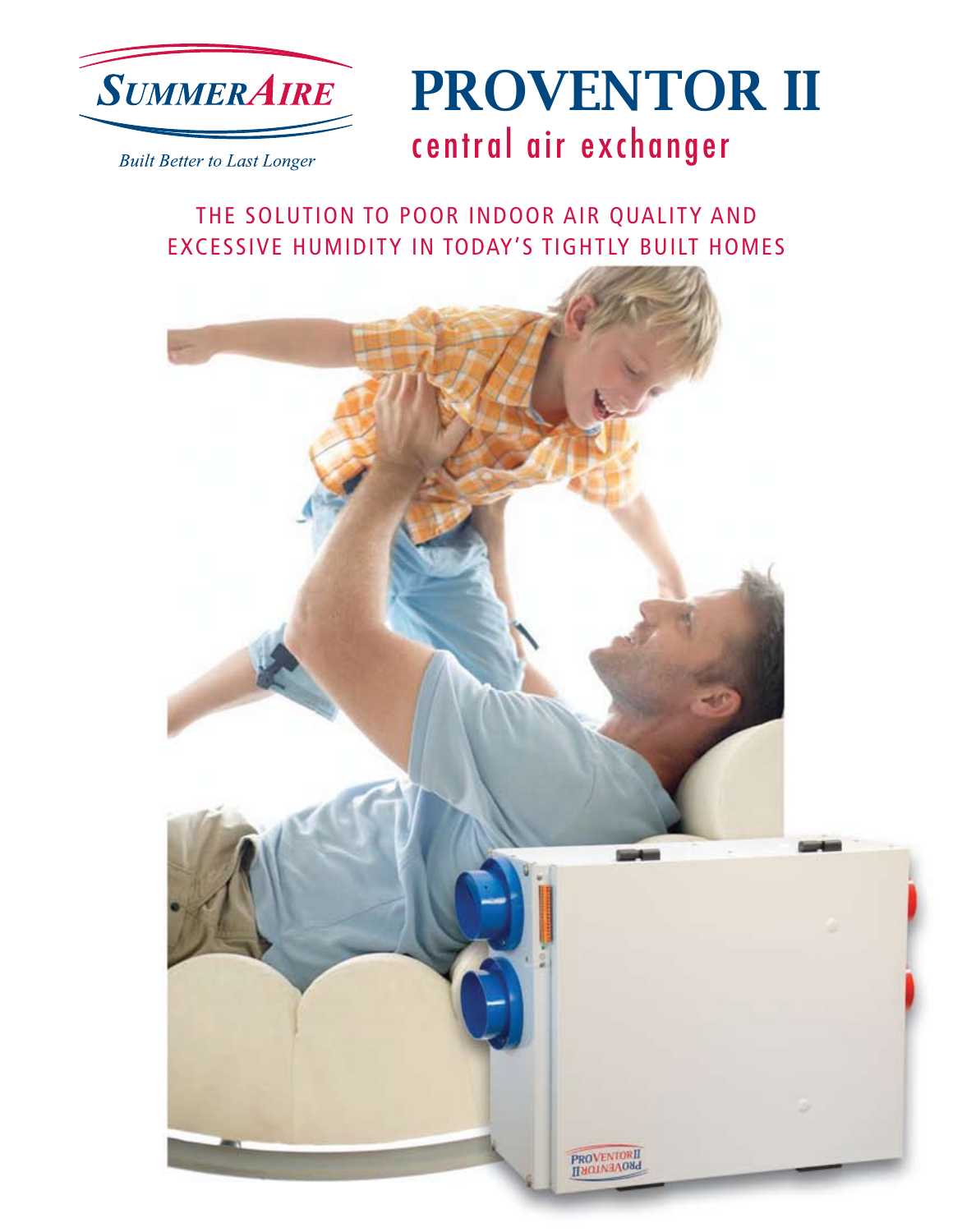



**Built Better to Last Longer** 

### THE SOLUTION TO POOR INDOOR AIR QUALITY AND EXCESSIVE HUMIDITY IN TODAY'S TIGHTLY BUILT HOMES

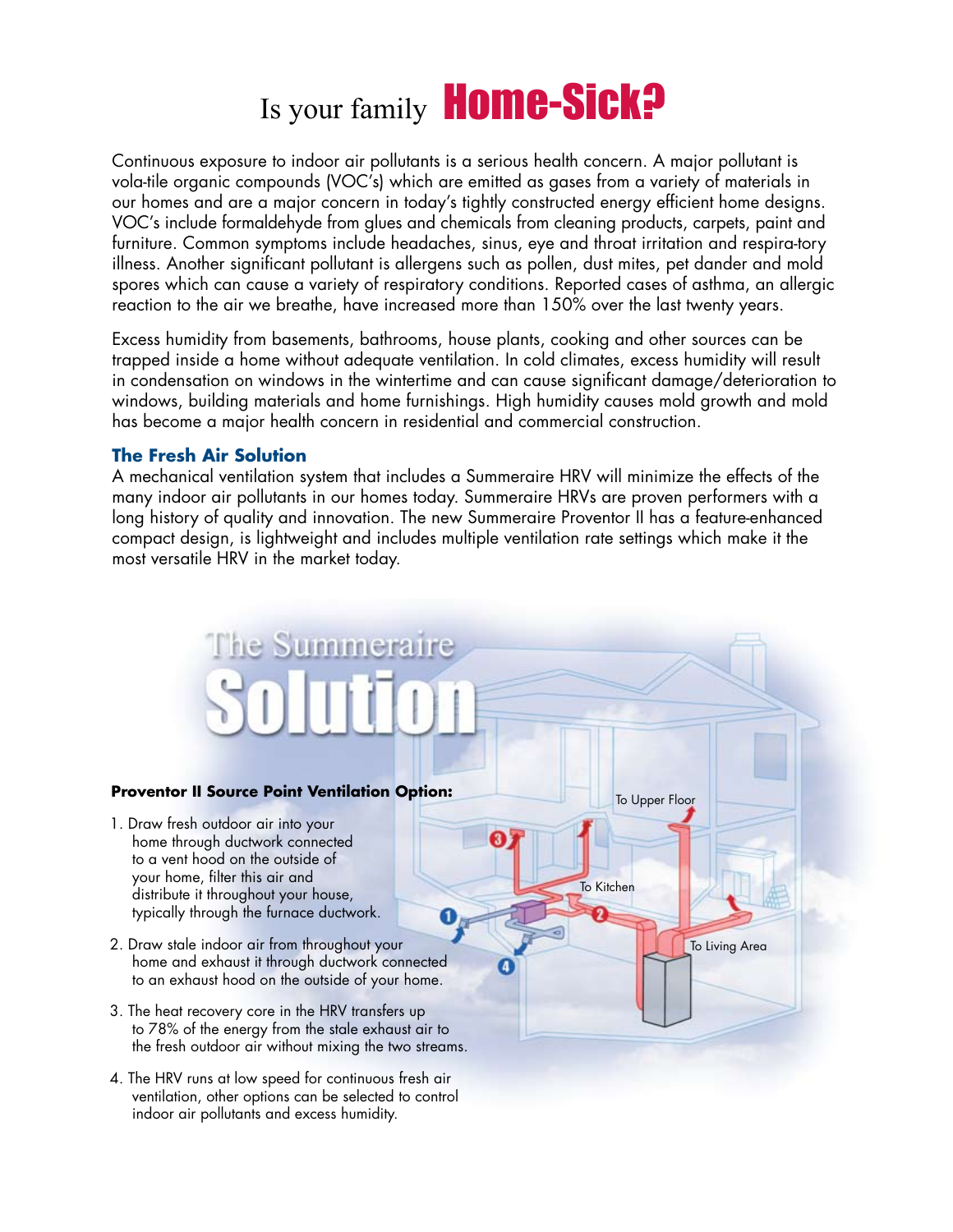# Is your family **Home-Sick?**

Continuous exposure to indoor air pollutants is a serious health concern. A major pollutant is vola-tile organic compounds (VOC's) which are emitted as gases from a variety of materials in our homes and are a major concern in today's tightly constructed energy efficient home designs. VOC's include formaldehyde from glues and chemicals from cleaning products, carpets, paint and furniture. Common symptoms include headaches, sinus, eye and throat irritation and respira-tory illness. Another significant pollutant is allergens such as pollen, dust mites, pet dander and mold spores which can cause a variety of respiratory conditions. Reported cases of asthma, an allergic reaction to the air we breathe, have increased more than 150% over the last twenty years.

Excess humidity from basements, bathrooms, house plants, cooking and other sources can be trapped inside a home without adequate ventilation. In cold climates, excess humidity will result in condensation on windows in the wintertime and can cause significant damage/deterioration to windows, building materials and home furnishings. High humidity causes mold growth and mold has become a major health concern in residential and commercial construction.

### **The Fresh Air Solution**

A mechanical ventilation system that includes a Summeraire HRV will minimize the effects of the many indoor air pollutants in our homes today. Summeraire HRVs are proven performers with a long history of quality and innovation. The new Summeraire Proventor II has a feature-enhanced compact design, is lightweight and includes multiple ventilation rate settings which make it the most versatile HRV in the market today.

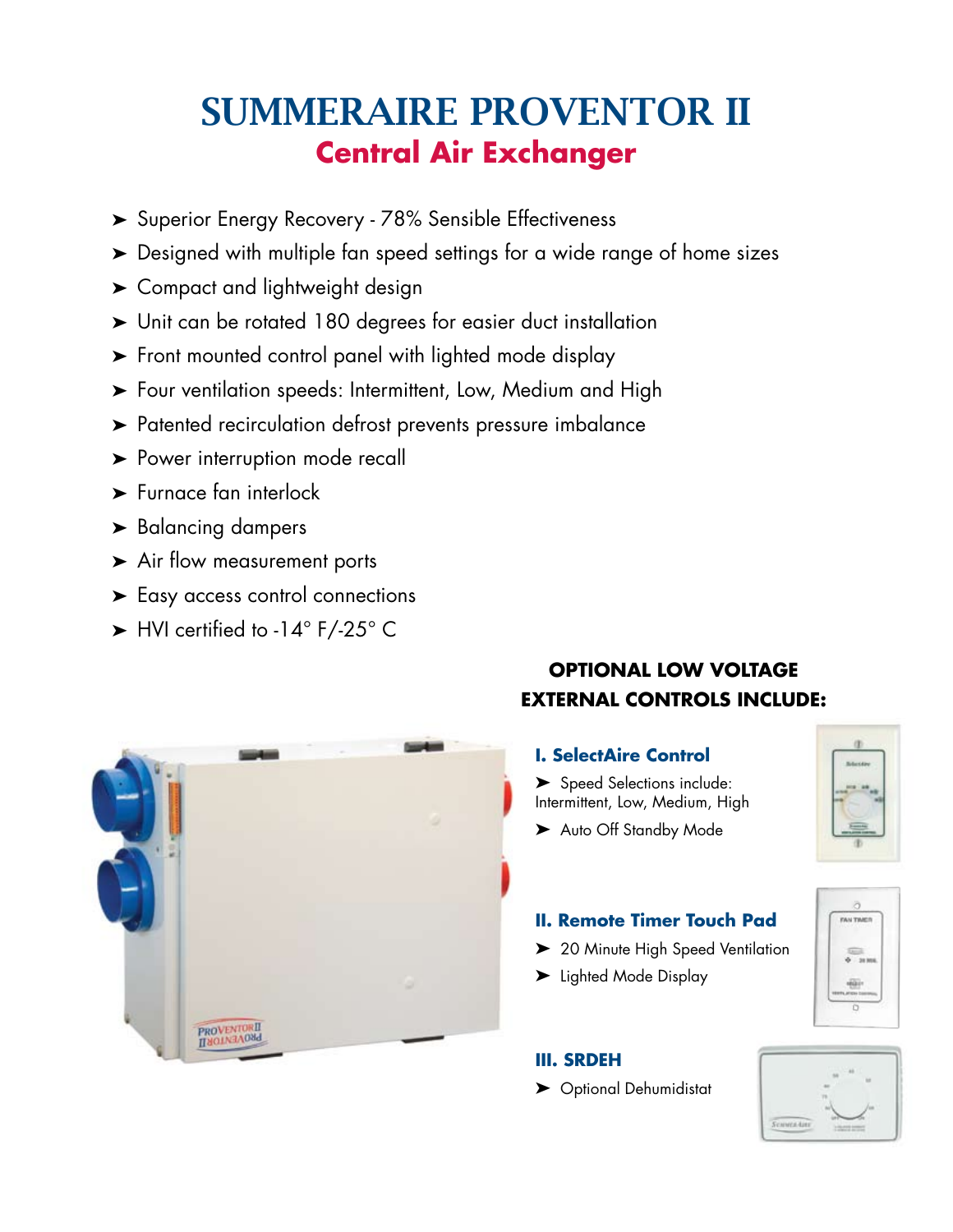## SUMMERAIRE PROVENTOR II **Central Air Exchanger**

- ➤ Superior Energy Recovery 78% Sensible Effectiveness
- ➤ Designed with multiple fan speed settings for a wide range of home sizes
- ➤ Compact and lightweight design
- ➤ Unit can be rotated 180 degrees for easier duct installation
- ➤ Front mounted control panel with lighted mode display
- ➤ Four ventilation speeds: Intermittent, Low, Medium and High
- ➤ Patented recirculation defrost prevents pressure imbalance
- ► Power interruption mode recall
- ➤ Furnace fan interlock
- ➤ Balancing dampers
- ➤ Air flow measurement ports
- ➤ Easy access control connections
- ➤ HVI certified to -14° F/-25° C



### **OPTIONAL LOW VOLTAGE EXTERNAL CONTROLS INCLUDE:**

### **I. SelectAire Control**

➤ Speed Selections include: Intermittent, Low, Medium, High

FAN TIME

➤ Auto Off Standby Mode

### **II. Remote Timer Touch Pad**

- ▶ 20 Minute High Speed Ventilation
- ➤ Lighted Mode Display

### **III. SRDEH**

➤ Optional Dehumidistat